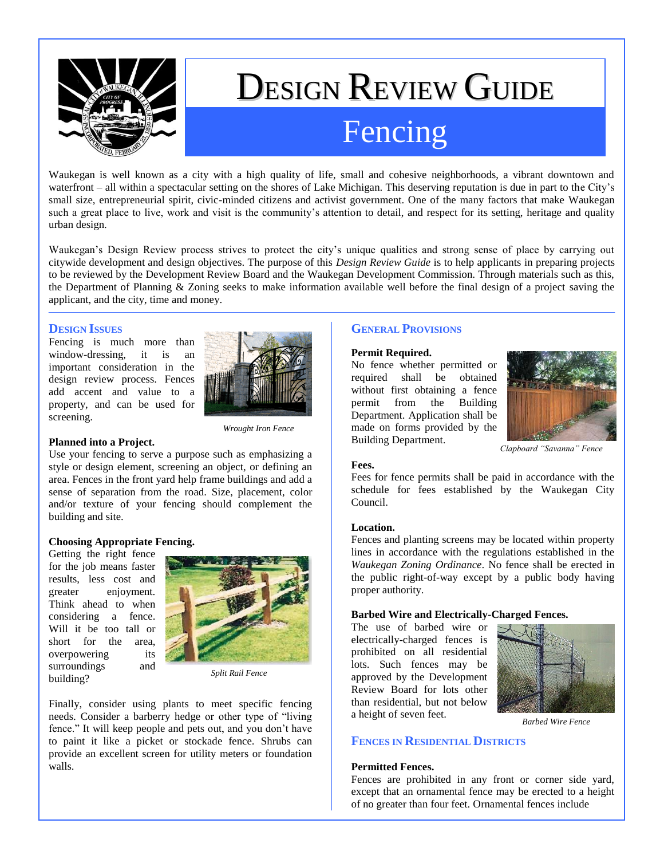

# DESIGN REVIEW GUIDE Fencing

Waukegan is well known as a city with a high quality of life, small and cohesive neighborhoods, a vibrant downtown and waterfront – all within a spectacular setting on the shores of Lake Michigan. This deserving reputation is due in part to the City's small size, entrepreneurial spirit, civic-minded citizens and activist government. One of the many factors that make Waukegan such a great place to live, work and visit is the community's attention to detail, and respect for its setting, heritage and quality urban design.

Waukegan's Design Review process strives to protect the city's unique qualities and strong sense of place by carrying out citywide development and design objectives. The purpose of this *Design Review Guide* is to help applicants in preparing projects to be reviewed by the Development Review Board and the Waukegan Development Commission. Through materials such as this, the Department of Planning & Zoning seeks to make information available well before the final design of a project saving the applicant, and the city, time and money.

## **DESIGN ISSUES**

Fencing is much more than window-dressing, it is an important consideration in the design review process. Fences add accent and value to a property, and can be used for screening.



*Wrought Iron Fence*

## **Planned into a Project.**

Use your fencing to serve a purpose such as emphasizing a style or design element, screening an object, or defining an area. Fences in the front yard help frame buildings and add a sense of separation from the road. Size, placement, color and/or texture of your fencing should complement the building and site.

## **Choosing Appropriate Fencing.**

Getting the right fence for the job means faster results, less cost and greater enjoyment. Think ahead to when considering a fence. Will it be too tall or short for the area, overpowering its surroundings and building?



*Split Rail Fence*

Finally, consider using plants to meet specific fencing needs. Consider a barberry hedge or other type of "living fence." It will keep people and pets out, and you don't have to paint it like a picket or stockade fence. Shrubs can provide an excellent screen for utility meters or foundation walls.

# **GENERAL PROVISIONS**

## **Permit Required.**

No fence whether permitted or required shall be obtained without first obtaining a fence permit from the Building Department. Application shall be made on forms provided by the Building Department.



*Clapboard "Savanna" Fence*

#### **Fees.**

Fees for fence permits shall be paid in accordance with the schedule for fees established by the Waukegan City Council.

#### **Location.**

Fences and planting screens may be located within property lines in accordance with the regulations established in the *Waukegan Zoning Ordinance*. No fence shall be erected in the public right-of-way except by a public body having proper authority.

## **Barbed Wire and Electrically-Charged Fences.**

The use of barbed wire or electrically-charged fences is prohibited on all residential lots. Such fences may be approved by the Development Review Board for lots other than residential, but not below a height of seven feet.



*Barbed Wire Fence*

## **FENCES IN RESIDENTIAL DISTRICTS**

#### **Permitted Fences.**

Fences are prohibited in any front or corner side yard, except that an ornamental fence may be erected to a height of no greater than four feet. Ornamental fences include